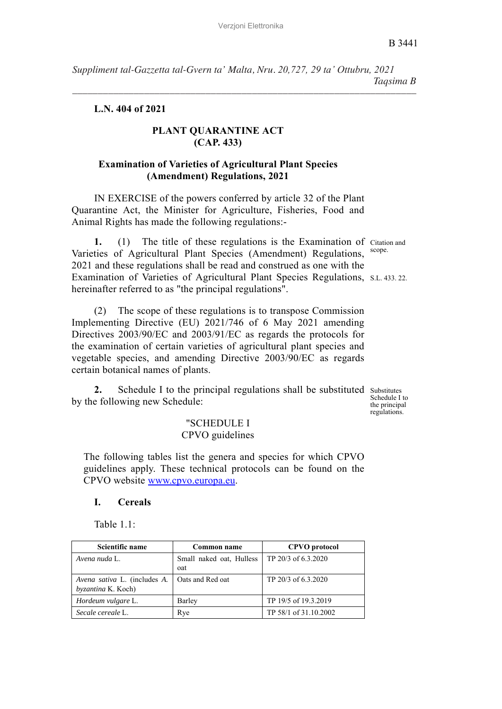B 3441

*Suppliment tal-Gazzetta tal-Gvern ta' Malta, Nru. 20,727, 29 ta' Ottubru, 2021 Taqsima B*

*–––––––––––––––––––––––––––––––––––––––––––––––––––––––––––––––––––*

**L.N. 404 of 2021**

## **PLANT QUARANTINE ACT (CAP. 433)**

### **Examination of Varieties of Agricultural Plant Species (Amendment) Regulations, 2021**

IN EXERCISE of the powers conferred by article 32 of the Plant Quarantine Act, the Minister for Agriculture, Fisheries, Food and Animal Rights has made the following regulations:-

1. (1) The title of these regulations is the Examination of Citation and scope. Examination of Varieties of Agricultural Plant Species Regulations, S.L. 433. 22. Varieties of Agricultural Plant Species (Amendment) Regulations, 2021 and these regulations shall be read and construed as one with the hereinafter referred to as "the principal regulations".

(2) The scope of these regulations is to transpose Commission Implementing Directive (EU) 2021/746 of 6 May 2021 amending Directives 2003/90/EC and 2003/91/EC as regards the protocols for the examination of certain varieties of agricultural plant species and vegetable species, and amending Directive 2003/90/EC as regards certain botanical names of plants.

2. Schedule I to the principal regulations shall be substituted substitutes by the following new Schedule:

Schedule I to the principal regulations.

### "SCHEDULE I CPVO guidelines

The following tables list the genera and species for which CPVO guidelines apply. These technical protocols can be found on the CPVO website www.cpvo.europa.eu.

#### **I. Cereals**

Table 1.1:

| Scientific name                                    | Common name                     | <b>CPVO</b> protocol  |
|----------------------------------------------------|---------------------------------|-----------------------|
| Avena nuda L.                                      | Small naked oat, Hulless<br>oat | TP 20/3 of 6.3.2020   |
| Avena sativa L. (includes A.<br>byzantina K. Koch) | Oats and Red oat                | TP 20/3 of 6.3.2020   |
| Hordeum vulgare L.                                 | Barley                          | TP 19/5 of 19.3.2019  |
| Secale cereale L.                                  | Rye                             | TP 58/1 of 31.10.2002 |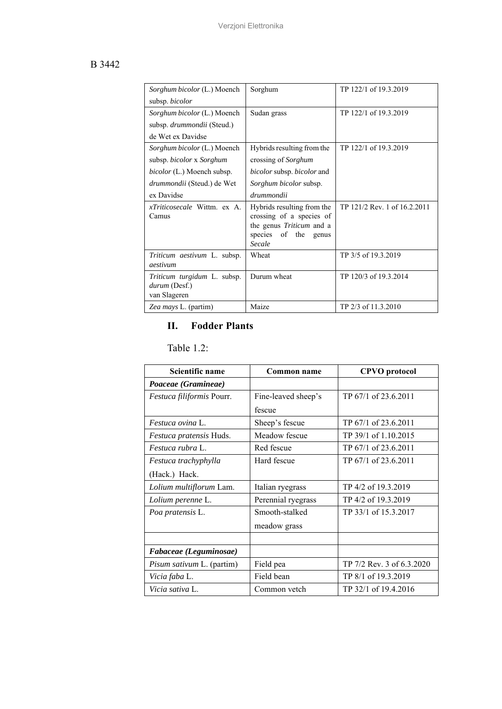## B 3442

| Sorghum bicolor (L.) Moench                                         | Sorghum                                                                                                                        | TP 122/1 of 19.3.2019        |
|---------------------------------------------------------------------|--------------------------------------------------------------------------------------------------------------------------------|------------------------------|
| subsp. bicolor                                                      |                                                                                                                                |                              |
| <i>Sorghum bicolor</i> (L.) Moench                                  | Sudan grass                                                                                                                    | TP 122/1 of 19.3.2019        |
| subsp. drummondii (Steud.)                                          |                                                                                                                                |                              |
| de Wet ex Davidse                                                   |                                                                                                                                |                              |
| Sorghum bicolor (L.) Moench                                         | Hybrids resulting from the                                                                                                     | TP 122/1 of 19.3.2019        |
| subsp. <i>bicolor x Sorghum</i>                                     | crossing of Sorghum                                                                                                            |                              |
| <i>bicolor</i> (L.) Moench subsp.                                   | <i>bicolor</i> subsp. <i>bicolor</i> and                                                                                       |                              |
| drummondii (Steud.) de Wet                                          | Sorghum bicolor subsp.                                                                                                         |                              |
| ex Davidse                                                          | drummondii                                                                                                                     |                              |
| <i>xTriticosecale</i> Wittm. ex A.<br>Camus                         | Hybrids resulting from the<br>crossing of a species of<br>the genus <i>Triticum</i> and a<br>species of the<br>genus<br>Secale | TP 121/2 Rev. 1 of 16.2.2011 |
| Triticum aestivum L. subsp.<br>aestivum                             | Wheat                                                                                                                          | TP 3/5 of 19.3.2019          |
| <i>Triticum turgidum</i> L. subsp.<br>durum (Desf.)<br>van Slageren | Durum wheat                                                                                                                    | TP 120/3 of 19.3.2014        |
| Zea mays L. (partim)                                                | Maize                                                                                                                          | TP 2/3 of 11.3.2010          |

# **II. Fodder Plants**

Table 1.2:

| Scientific name           | Common name         | <b>CPVO</b> protocol      |
|---------------------------|---------------------|---------------------------|
| Poaceae (Gramineae)       |                     |                           |
| Festuca filiformis Pourr. | Fine-leaved sheep's | TP 67/1 of 23.6.2011      |
|                           | fescue              |                           |
| <i>Festuca ovina L.</i>   | Sheep's fescue      | TP 67/1 of 23.6.2011      |
| Festuca pratensis Huds.   | Meadow fescue       | TP 39/1 of 1.10.2015      |
| Festuca rubra L.          | Red fescue          | TP 67/1 of 23.6.2011      |
| Festuca trachyphylla      | Hard fescue         | TP 67/1 of 23.6.2011      |
| (Hack.) Hack.             |                     |                           |
| Lolium multiflorum Lam.   | Italian ryegrass    | TP 4/2 of 19.3.2019       |
| Lolium perenne L.         | Perennial ryegrass  | TP 4/2 of 19.3.2019       |
| Poa pratensis L.          | Smooth-stalked      | TP 33/1 of 15.3.2017      |
|                           | meadow grass        |                           |
|                           |                     |                           |
| Fabaceae (Leguminosae)    |                     |                           |
| Pisum sativum L. (partim) | Field pea           | TP 7/2 Rev. 3 of 6.3.2020 |
| Vicia faba L.             | Field bean          | TP 8/1 of 19.3.2019       |
| Vicia sativa L.           | Common vetch        | TP 32/1 of 19.4.2016      |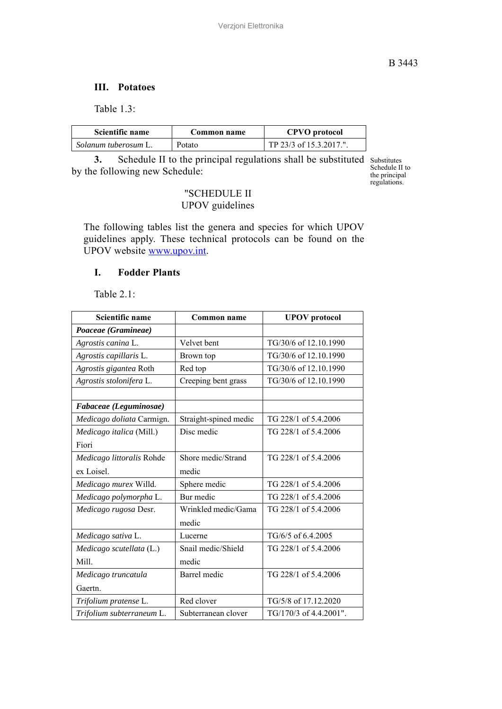### **III. Potatoes**

Table 1.3:

| Scientific name      | Common name | <b>CPVO</b> protocol    |
|----------------------|-------------|-------------------------|
| Solanum tuberosum L. | Potato      | TP 23/3 of 15.3.2017.". |

**3.** Schedule II to the principal regulations shall be substituted substitutes schedule II to selectually schedule. by the following new Schedule:

Substitutes the principal regulations.

# "SCHEDULE II UPOV guidelines

The following tables list the genera and species for which UPOV guidelines apply. These technical protocols can be found on the UPOV website www.upov.int.

### **I. Fodder Plants**

Table 2.1:

| Scientific name           | Common name           | <b>UPOV</b> protocol   |
|---------------------------|-----------------------|------------------------|
| Poaceae (Gramineae)       |                       |                        |
| Agrostis canina L.        | Velvet bent           | TG/30/6 of 12.10.1990  |
| Agrostis capillaris L.    | Brown top             | TG/30/6 of 12.10.1990  |
| Agrostis gigantea Roth    | Red top               | TG/30/6 of 12.10.1990  |
| Agrostis stolonifera L.   | Creeping bent grass   | TG/30/6 of 12.10.1990  |
|                           |                       |                        |
| Fabaceae (Leguminosae)    |                       |                        |
| Medicago doliata Carmign. | Straight-spined medic | TG 228/1 of 5.4.2006   |
| Medicago italica (Mill.)  | Disc medic            | TG 228/1 of 5.4.2006   |
| Fiori                     |                       |                        |
| Medicago littoralis Rohde | Shore medic/Strand    | TG 228/1 of 5.4.2006   |
| ex Loisel.                | medic                 |                        |
| Medicago murex Willd.     | Sphere medic          | TG 228/1 of 5.4.2006   |
| Medicago polymorpha L.    | Bur medic             | TG 228/1 of 5.4.2006   |
| Medicago rugosa Desr.     | Wrinkled medic/Gama   | TG 228/1 of 5.4.2006   |
|                           | medic                 |                        |
| Medicago sativa L.        | Lucerne               | TG/6/5 of 6.4.2005     |
| Medicago scutellata (L.)  | Snail medic/Shield    | TG 228/1 of 5.4.2006   |
| Mill.                     | medic                 |                        |
| Medicago truncatula       | <b>Barrel</b> medic   | TG 228/1 of 5.4.2006   |
| Gaertn.                   |                       |                        |
| Trifolium pratense L.     | Red clover            | TG/5/8 of 17.12.2020   |
| Trifolium subterraneum L. | Subterranean clover   | TG/170/3 of 4.4.2001". |